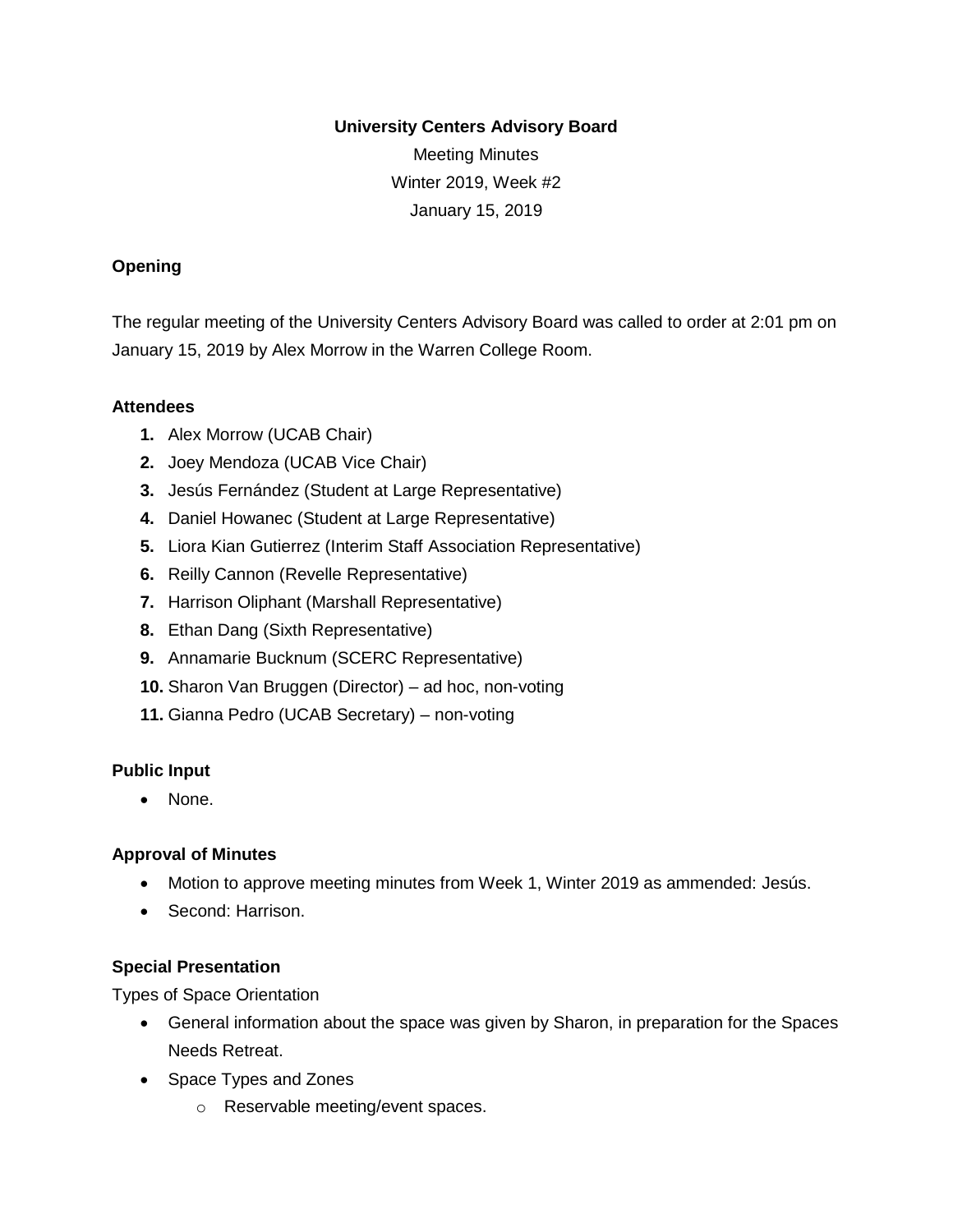#### **University Centers Advisory Board**

Meeting Minutes Winter 2019, Week #2 January 15, 2019

## **Opening**

The regular meeting of the University Centers Advisory Board was called to order at 2:01 pm on January 15, 2019 by Alex Morrow in the Warren College Room.

### **Attendees**

- **1.** Alex Morrow (UCAB Chair)
- **2.** Joey Mendoza (UCAB Vice Chair)
- **3.** Jesús Fernández (Student at Large Representative)
- **4.** Daniel Howanec (Student at Large Representative)
- **5.** Liora Kian Gutierrez (Interim Staff Association Representative)
- **6.** Reilly Cannon (Revelle Representative)
- **7.** Harrison Oliphant (Marshall Representative)
- **8.** Ethan Dang (Sixth Representative)
- **9.** Annamarie Bucknum (SCERC Representative)
- **10.** Sharon Van Bruggen (Director) ad hoc, non-voting
- **11.** Gianna Pedro (UCAB Secretary) non-voting

### **Public Input**

• None.

### **Approval of Minutes**

- Motion to approve meeting minutes from Week 1, Winter 2019 as ammended: Jesús.
- Second: Harrison.

### **Special Presentation**

Types of Space Orientation

- General information about the space was given by Sharon, in preparation for the Spaces Needs Retreat.
- Space Types and Zones
	- o Reservable meeting/event spaces.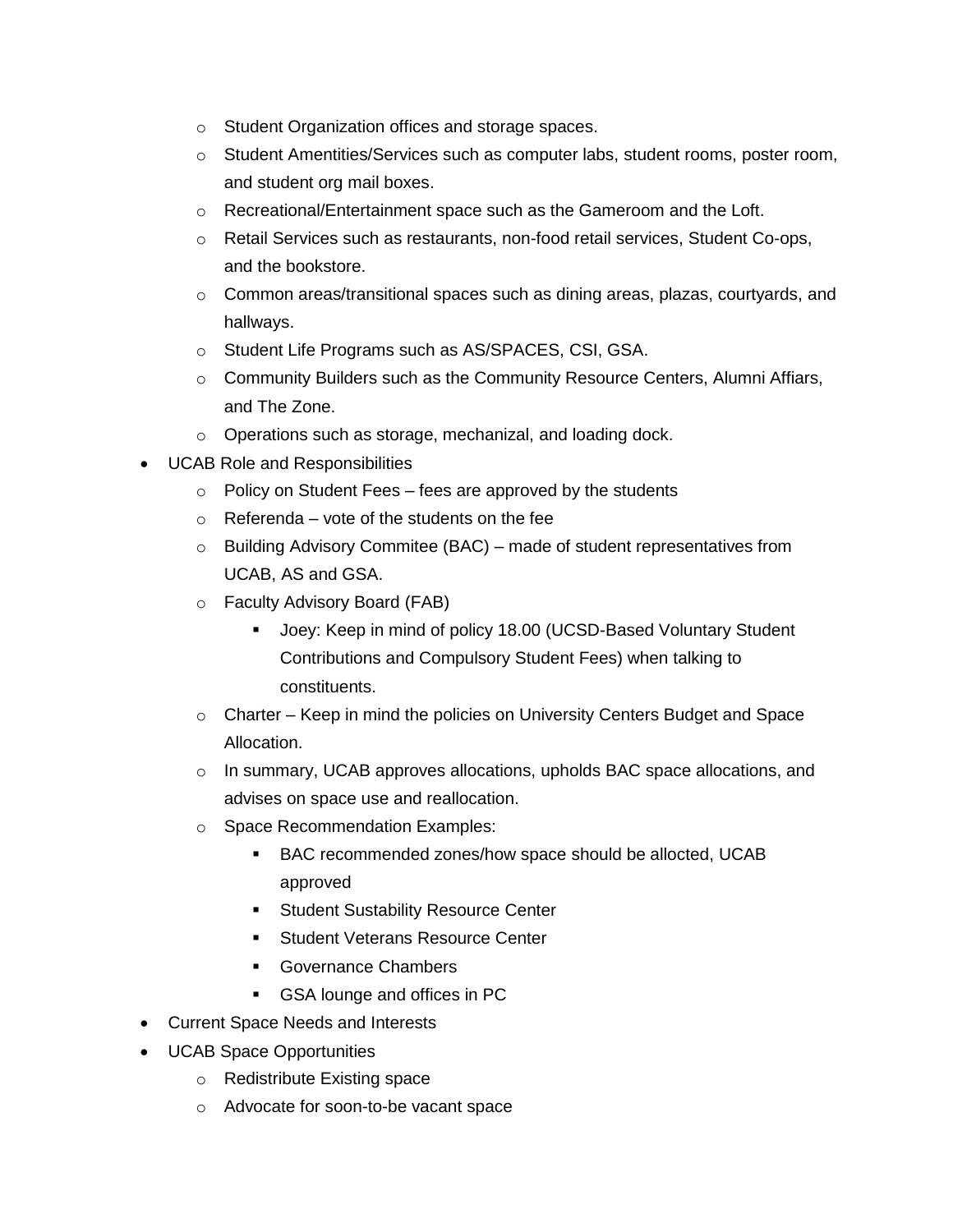- o Student Organization offices and storage spaces.
- o Student Amentities/Services such as computer labs, student rooms, poster room, and student org mail boxes.
- $\circ$  Recreational/Entertainment space such as the Gameroom and the Loft.
- o Retail Services such as restaurants, non-food retail services, Student Co-ops, and the bookstore.
- $\circ$  Common areas/transitional spaces such as dining areas, plazas, courtyards, and hallways.
- o Student Life Programs such as AS/SPACES, CSI, GSA.
- $\circ$  Community Builders such as the Community Resource Centers, Alumni Affiars, and The Zone.
- o Operations such as storage, mechanizal, and loading dock.
- UCAB Role and Responsibilities
	- $\circ$  Policy on Student Fees fees are approved by the students
	- $\circ$  Referenda vote of the students on the fee
	- o Building Advisory Commitee (BAC) made of student representatives from UCAB, AS and GSA.
	- o Faculty Advisory Board (FAB)
		- Joey: Keep in mind of policy 18.00 (UCSD-Based Voluntary Student Contributions and Compulsory Student Fees) when talking to constituents.
	- o Charter Keep in mind the policies on University Centers Budget and Space Allocation.
	- $\circ$  In summary, UCAB approves allocations, upholds BAC space allocations, and advises on space use and reallocation.
	- o Space Recommendation Examples:
		- BAC recommended zones/how space should be allocted, UCAB approved
		- Student Sustability Resource Center
		- Student Veterans Resource Center
		- Governance Chambers
		- GSA lounge and offices in PC
- Current Space Needs and Interests
- UCAB Space Opportunities
	- o Redistribute Existing space
	- o Advocate for soon-to-be vacant space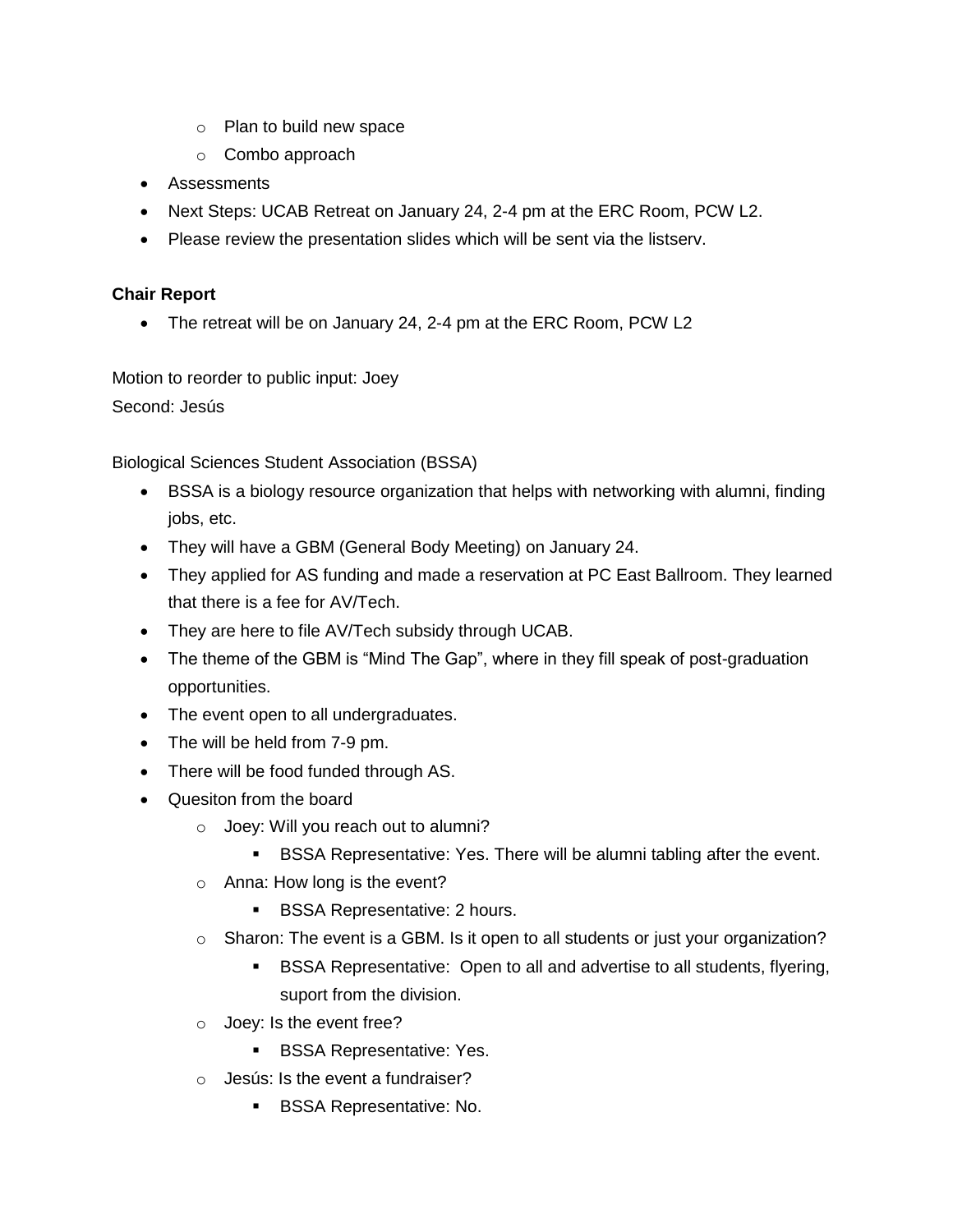- o Plan to build new space
- o Combo approach
- Assessments
- Next Steps: UCAB Retreat on January 24, 2-4 pm at the ERC Room, PCW L2.
- Please review the presentation slides which will be sent via the listserv.

# **Chair Report**

• The retreat will be on January 24, 2-4 pm at the ERC Room, PCW L2

Motion to reorder to public input: Joey

Second: Jesús

Biological Sciences Student Association (BSSA)

- BSSA is a biology resource organization that helps with networking with alumni, finding jobs, etc.
- They will have a GBM (General Body Meeting) on January 24.
- They applied for AS funding and made a reservation at PC East Ballroom. They learned that there is a fee for AV/Tech.
- They are here to file AV/Tech subsidy through UCAB.
- The theme of the GBM is "Mind The Gap", where in they fill speak of post-graduation opportunities.
- The event open to all undergraduates.
- The will be held from 7-9 pm.
- There will be food funded through AS.
- Quesiton from the board
	- o Joey: Will you reach out to alumni?
		- **BSSA Representative: Yes. There will be alumni tabling after the event.**
	- o Anna: How long is the event?
		- BSSA Representative: 2 hours.
	- $\circ$  Sharon: The event is a GBM. Is it open to all students or just your organization?
		- BSSA Representative: Open to all and advertise to all students, flyering, suport from the division.
	- o Joey: Is the event free?
		- **BSSA Representative: Yes.**
	- $\circ$  Jesús: Is the event a fundraiser?
		- **BSSA Representative: No.**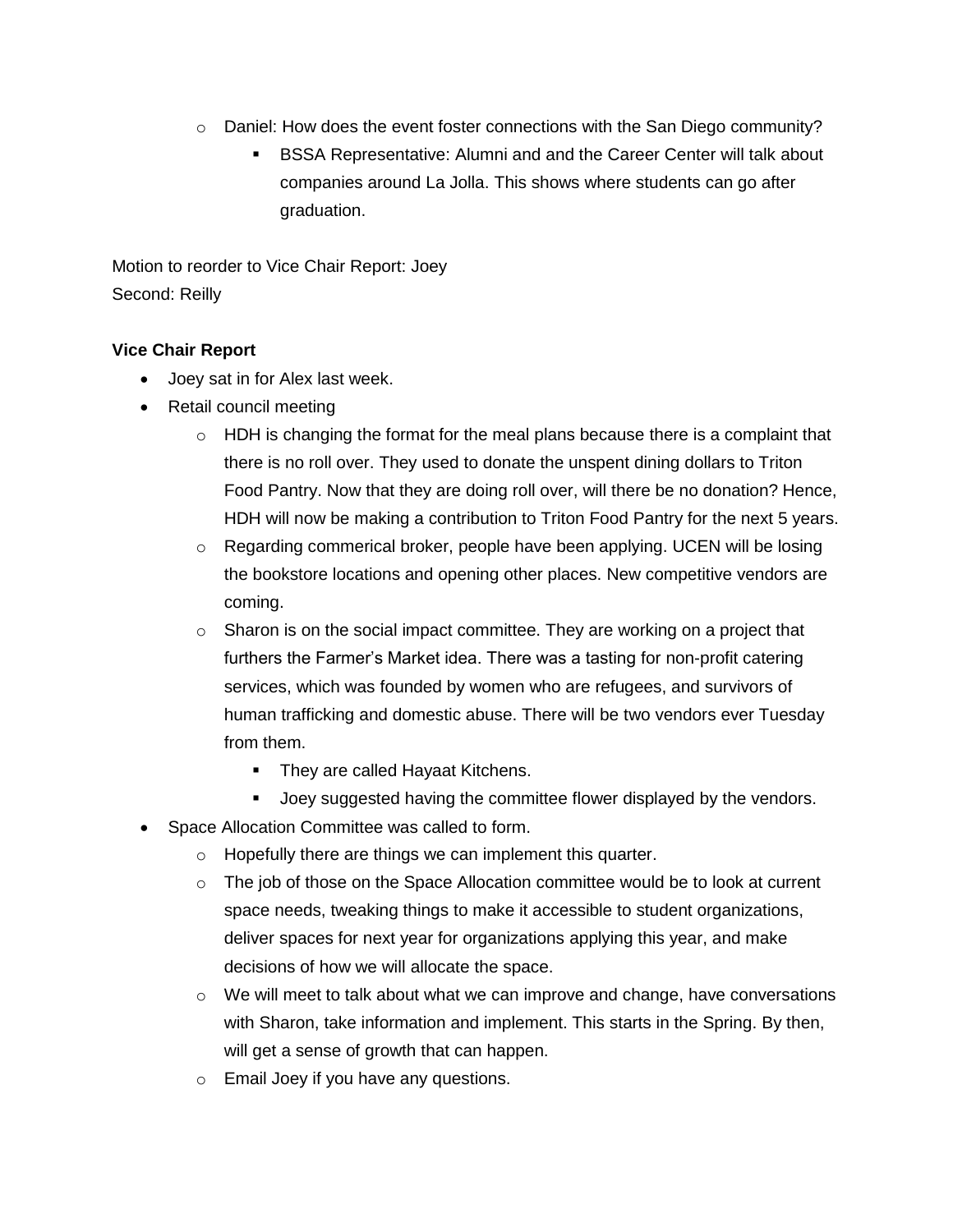- $\circ$  Daniel: How does the event foster connections with the San Diego community?
	- **BSSA Representative: Alumni and and the Career Center will talk about** companies around La Jolla. This shows where students can go after graduation.

Motion to reorder to Vice Chair Report: Joey Second: Reilly

# **Vice Chair Report**

- Joey sat in for Alex last week.
- Retail council meeting
	- $\circ$  HDH is changing the format for the meal plans because there is a complaint that there is no roll over. They used to donate the unspent dining dollars to Triton Food Pantry. Now that they are doing roll over, will there be no donation? Hence, HDH will now be making a contribution to Triton Food Pantry for the next 5 years.
	- o Regarding commerical broker, people have been applying. UCEN will be losing the bookstore locations and opening other places. New competitive vendors are coming.
	- $\circ$  Sharon is on the social impact committee. They are working on a project that furthers the Farmer's Market idea. There was a tasting for non-profit catering services, which was founded by women who are refugees, and survivors of human trafficking and domestic abuse. There will be two vendors ever Tuesday from them.
		- They are called Hayaat Kitchens.
		- Joey suggested having the committee flower displayed by the vendors.
- Space Allocation Committee was called to form.
	- o Hopefully there are things we can implement this quarter.
	- $\circ$  The job of those on the Space Allocation committee would be to look at current space needs, tweaking things to make it accessible to student organizations, deliver spaces for next year for organizations applying this year, and make decisions of how we will allocate the space.
	- $\circ$  We will meet to talk about what we can improve and change, have conversations with Sharon, take information and implement. This starts in the Spring. By then, will get a sense of growth that can happen.
	- o Email Joey if you have any questions.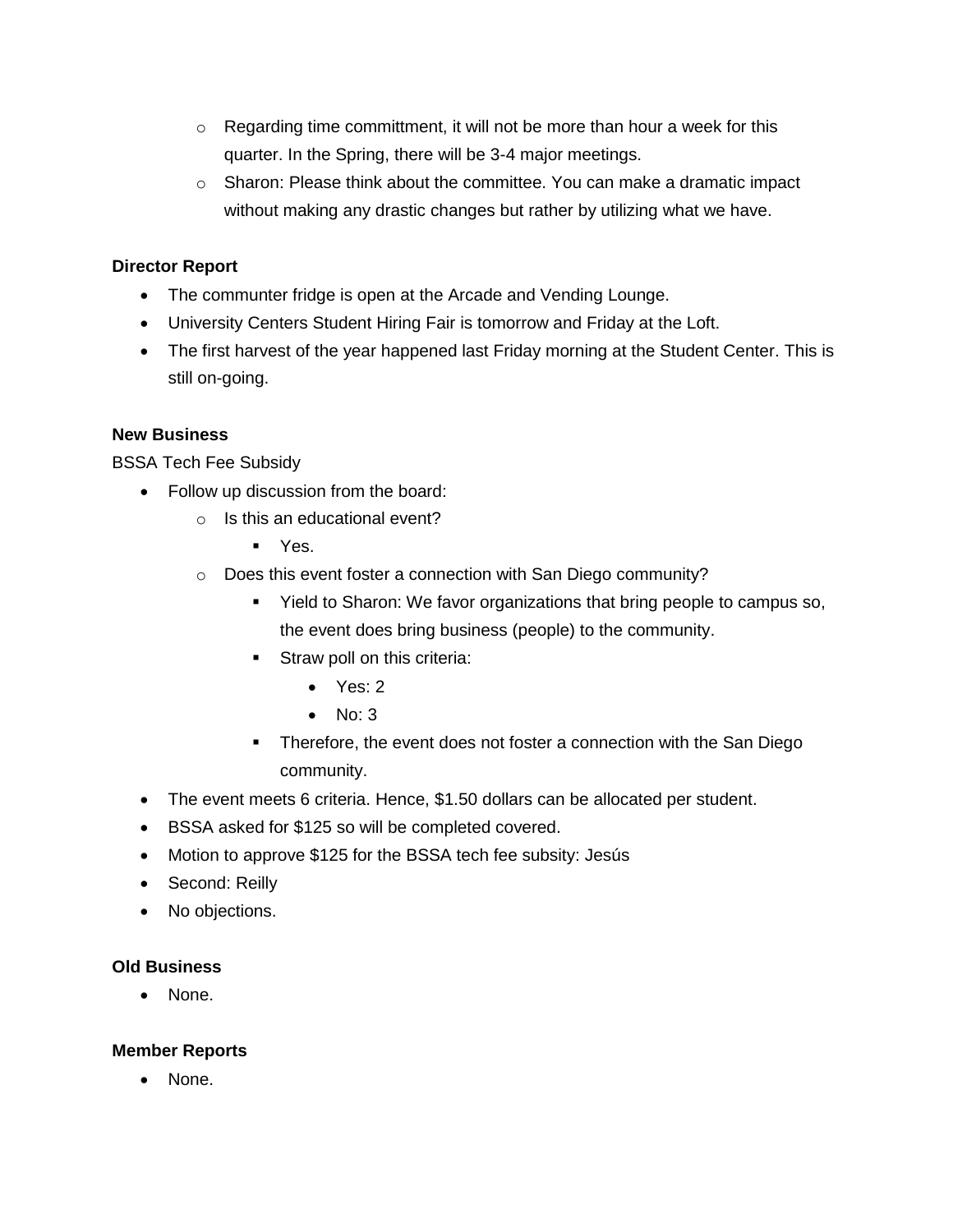- $\circ$  Regarding time committment, it will not be more than hour a week for this quarter. In the Spring, there will be 3-4 major meetings.
- $\circ$  Sharon: Please think about the committee. You can make a dramatic impact without making any drastic changes but rather by utilizing what we have.

## **Director Report**

- The communter fridge is open at the Arcade and Vending Lounge.
- University Centers Student Hiring Fair is tomorrow and Friday at the Loft.
- The first harvest of the year happened last Friday morning at the Student Center. This is still on-going.

### **New Business**

BSSA Tech Fee Subsidy

- Follow up discussion from the board:
	- $\circ$  Is this an educational event?
		- Yes.
	- o Does this event foster a connection with San Diego community?
		- Yield to Sharon: We favor organizations that bring people to campus so, the event does bring business (people) to the community.
		- **EXECUTE:** Straw poll on this criteria:
			- Yes: 2
			- $\bullet$  No: 3
		- **EXECT** Therefore, the event does not foster a connection with the San Diego community.
- The event meets 6 criteria. Hence, \$1.50 dollars can be allocated per student.
- BSSA asked for \$125 so will be completed covered.
- Motion to approve \$125 for the BSSA tech fee subsity: Jesús
- Second: Reilly
- No objections.

### **Old Business**

• None.

### **Member Reports**

• None.